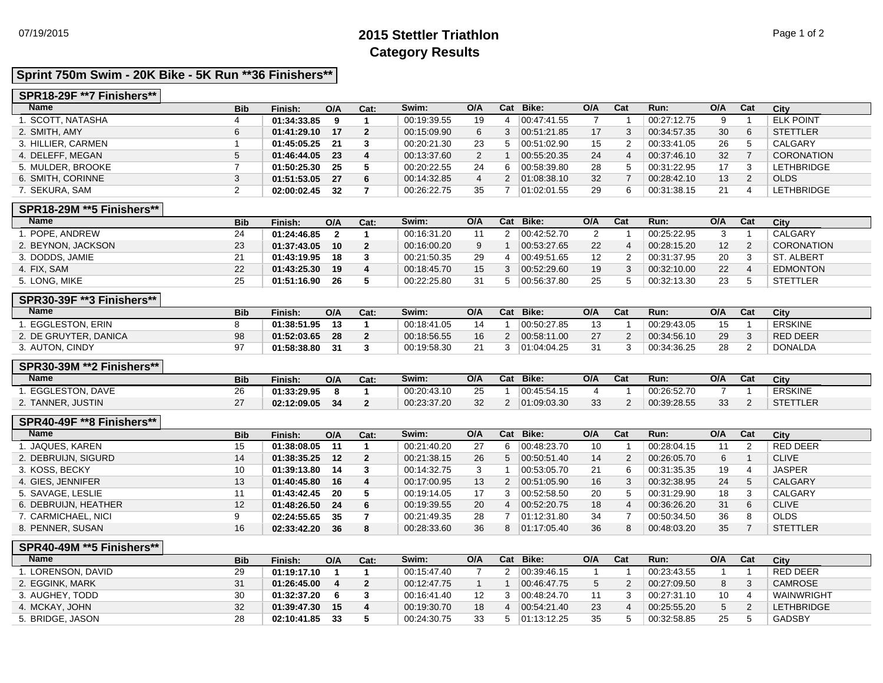# 07/19/2015 **2015 Stettler Triathlon** Page 1 of 2 **Category Results**

# **Sprint 750m Swim - 20K Bike - 5K Run \*\*36 Finishers\*\***

#### **SPR18-29F \*\*7 Finishers\*\***

| Name               | <b>Bib</b> | Finish:     | O/A | Cat: | Swim:       | O/A | Cat          | Bike:       | O/A | Cat | Run:        | O/A | Cat | City              |
|--------------------|------------|-------------|-----|------|-------------|-----|--------------|-------------|-----|-----|-------------|-----|-----|-------------------|
| 1. SCOTT. NATASHA  |            | 01:34:33.85 | 9.  |      | 00:19:39.55 | 19  |              | 00.47.41.55 |     |     | 00:27:12.75 | 9   |     | <b>ELK POINT</b>  |
| 2. SMITH, AMY      | 6          | 01:41:29.10 | 17  |      | 00:15:09.90 | 6   | 3            | 00.51.21.85 | 17  |     | 00:34:57.35 | 30  | 6   | <b>STETTLER</b>   |
| 3. HILLIER. CARMEN |            | 01:45:05.25 | 21  |      | 00:20:21.30 | 23  | 5            | 00.51:02.90 | 15  |     | 00:33:41.05 | 26  | 5   | CALGARY           |
| 4. DELEFF. MEGAN   | 5          | 01:46:44.05 | 23  |      | 00:13:37.60 | 2   |              | 00.55.20.35 | 24  | 4   | 00:37:46.10 | 32  |     | <b>CORONATION</b> |
| 5. MULDER. BROOKE  |            | 01:50:25.30 | 25  |      | 00:20:22.55 | 24  | 6            | 00.58.39.80 | 28  | 5   | 00:31:22.95 | 17  | 3   | <b>LETHBRIDGE</b> |
| 6. SMITH, CORINNE  | ◠<br>J     | 01:51:53.05 | 27  |      | 00:14:32.85 |     | $\mathbf{2}$ | 01:08:38.10 | 32  |     | 00:28:42.10 | 13  | 2   | <b>OLDS</b>       |
| 7. SEKURA, SAM     |            | 02:00:02.45 | 32  |      | 00:26:22.75 | 35  |              | 01:02:01.55 | 29  | 6   | 00:31:38.15 | 21  | 4   | <b>LETHBRIDGE</b> |
| ---------------    |            |             |     |      |             |     |              |             |     |     |             |     |     |                   |

#### **SPR18-29M \*\*5 Finishers\*\***

| <b>Name</b>        | <b>Bib</b> | Finish:     | O/A             | Cat: | Swim:       | O/A | Cat | Bike:       | O/A | Cat | Run:        | O/A | Cat | City              |
|--------------------|------------|-------------|-----------------|------|-------------|-----|-----|-------------|-----|-----|-------------|-----|-----|-------------------|
| . POPE. ANDREW     | 24         | 01:24:46.85 |                 |      | 00:16:31.20 |     |     | 00.42:52.70 |     |     | 00:25:22.95 |     |     | CALGARY           |
| 2. BEYNON, JACKSON | 23         | 01:37:43.05 | 10 <sup>1</sup> |      | 00:16:00.20 | 9   |     | 00.53.27.65 | 22  |     | 00:28:15.20 | 12  |     | <b>CORONATION</b> |
| 3. DODDS, JAMIE    |            | 01:43:19.95 | 18              |      | 00:21:50.35 | 29  |     | 00:49:51.65 | 12  |     | 00:31:37.95 | 20  |     | ST. ALBERT        |
| 4. FIX. SAM        | 22         | 01:43:25.30 | 19              |      | 00:18:45.70 | 15  |     | 00.52:29.60 | 19  |     | 00:32:10.00 | 22  |     | <b>EDMONTON</b>   |
| 5. LONG. MIKE      | 25         | 01:51:16.90 | 26              |      | 00:22:25.80 | 31  |     | 00:56:37.80 | 25  |     | 00:32:13.30 | 23  |     | <b>STETTLER</b>   |

# **SPR30-39F \*\*3 Finishers\*\***

| <b>Name</b>            | <b>Bib</b> | Finish:     | O/A | Cat: | Swim:       | O/A      | Cat | Bike:       | O/A | Cat | Run:        | O/A | Cat | City            |
|------------------------|------------|-------------|-----|------|-------------|----------|-----|-------------|-----|-----|-------------|-----|-----|-----------------|
| <b>EGGLESTON, ERIN</b> |            | 01:38:51.95 | 13  |      | 00:18:41.05 |          |     | 00.50.27.85 |     |     | 00:29:43.05 | 15  |     | <b>ERSKINE</b>  |
| 2. DE GRUYTER, DANICA  | 98         | 01:52:03.65 | 28  |      | 00:18:56.55 | 16       |     | 00:58:11.00 |     |     | 00:34:56.10 | 29  |     | <b>RED DEER</b> |
| 3. AUTON, CINDY        |            | 01:58:38.80 |     |      | 00:19:58.30 | $\Omega$ |     | 01:04:04.25 |     |     | 00:34:36.25 | 28  |     | <b>DONALDA</b>  |

#### **SPR30-39M \*\*2 Finishers\*\***

| <b>Name</b>            | <b>Bib</b> | Finish.     | O/A | Cat. | Swim:       | O/A | Cat | Bike:       | O/A      | Cat | Run:        | O/A | Cat | City            |
|------------------------|------------|-------------|-----|------|-------------|-----|-----|-------------|----------|-----|-------------|-----|-----|-----------------|
| <b>EGGLESTON, DAVE</b> | nc<br>∠o   | 01:33:29.95 |     |      | 00:20:43.10 | 25  |     | 00:45:54.15 |          |     | 00:26:52.70 |     |     | <b>ERSKINE</b>  |
| 2. TANNER, JUSTIN      | $\sim$     | 02:12:09.05 | 34  |      | 00:23:37.20 | 32  |     | 01:09:03.30 | 22<br>ഄഄ |     | 00:39:28.55 | 33  |     | <b>STETTLER</b> |

### **SPR40-49F \*\*8 Finishers\*\***

| <b>Name</b>          | <b>Bib</b>      | Finish:     | O/A | Cat:     | Swim:       | O/A | Cat Bike:     | O/A | Cat | Run:        | O/A | Cat | City            |
|----------------------|-----------------|-------------|-----|----------|-------------|-----|---------------|-----|-----|-------------|-----|-----|-----------------|
| . JAQUES. KAREN      | 15              | 01:38:08.05 | 11  |          | 00:21:40.20 | 27  | 00:48:23.70   | 10  |     | 00:28:04.15 | 11  |     | RED DEER        |
| 2. DEBRUIJN, SIGURD  | 14              | 01:38:35.25 | 12  | $\sim$ 2 | 00:21:38.15 | 26  | 00:50:51.40   | 14  |     | 00:26:05.70 | 6   |     | <b>CLIVE</b>    |
| 3. KOSS, BECKY       | 10              | 01:39:13.80 | 14  |          | 00:14:32.75 |     | 00:53:05.70   | 21  | 6   | 00:31:35.35 | 19  |     | <b>JASPER</b>   |
| 4. GIES, JENNIFER    | 13              | 01:40:45.80 | 16  | -4       | 00:17:00.95 | 13  | 2 00:51:05.90 | 16  |     | 00:32:38.95 | 24  |     | <b>CALGARY</b>  |
| 5. SAVAGE, LESLIE    |                 | 01:43:42.45 | -20 |          | 00:19:14.05 | 17  | 00:52:58.50   | 20  |     | 00:31:29.90 | 18  |     | CALGARY         |
| 6. DEBRUIJN, HEATHER | 12 <sup>2</sup> | 01:48:26.50 | 24  | - 6      | 00:19:39.55 | 20  | 00:52:20.75   | 18  |     | 00:36:26.20 | 31  |     | <b>CLIVE</b>    |
| 7. CARMICHAEL, NICI  |                 | 02:24:55.65 | 35  |          | 00:21:49.35 | 28  | 01:12:31.80   | 34  |     | 00:50:34.50 | 36  |     | <b>OLDS</b>     |
| 8. PENNER, SUSAN     | 16              | 02:33:42.20 | 36  | -8       | 00:28:33.60 | 36  | 01:17:05.40   | 36  |     | 00:48:03.20 | 35  |     | <b>STETTLER</b> |

#### **SPR40-49M \*\*5 Finishers\*\***

| <b>Name</b>       | <b>Bib</b> | Finish:     | O/A | Cat: | Swim:       | O/A | Cat | Bike:                 | O/A | Cat | Run:        | O/A | Cat | City              |
|-------------------|------------|-------------|-----|------|-------------|-----|-----|-----------------------|-----|-----|-------------|-----|-----|-------------------|
| . LORENSON, DAVID | 29         | 01:19:17.10 |     |      | 00:15:47.40 |     |     | 00:39:46.15           |     |     | 00:23:43.55 |     |     | <b>RED DEER</b>   |
| 2. EGGINK, MARK   | 31         | 01:26:45.00 |     |      | 00:12:47.75 |     |     | 00:46:47.75           |     |     | 00:27:09.50 |     |     | CAMROSE           |
| 3. AUGHEY. TODD   | 30         | 01:32:37.20 |     |      | 00:16:41.40 | 12  |     | 00.48.24.70           |     |     | 00:27:31.10 | 10  |     | WAINWRIGHT        |
| 4. MCKAY, JOHN    | 32         | 01:39:47.30 | 15  |      | 00:19:30.70 | 18  |     | $ 00.54.21.40\rangle$ | 23  |     | 00:25:55.20 |     |     | <b>LETHBRIDGE</b> |
| 5. BRIDGE, JASON  | 28         | 02:10:41.85 | 33  |      | 00:24:30.75 | 33  |     | 01:13:12.25           | 35  |     | 00:32:58.85 | 25  |     | <b>GADSBY</b>     |